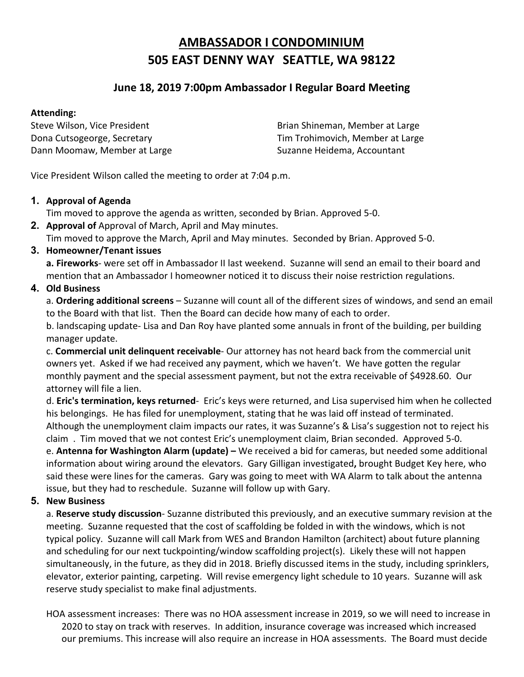# **AMBASSADOR I CONDOMINIUM 505 EAST DENNY WAY SEATTLE, WA 98122**

## **June 18, 2019 7:00pm Ambassador I Regular Board Meeting**

#### **Attending:**

Dann Moomaw, Member at Large Suzanne Heidema, Accountant

Steve Wilson, Vice President **Brian Shineman, Member at Large** Dona Cutsogeorge, Secretary Tim Trohimovich, Member at Large

Vice President Wilson called the meeting to order at 7:04 p.m.

### **1. Approval of Agenda**

Tim moved to approve the agenda as written, seconded by Brian. Approved 5-0.

**2. Approval of** Approval of March, April and May minutes.

Tim moved to approve the March, April and May minutes. Seconded by Brian. Approved 5-0.

### **3. Homeowner/Tenant issues**

**a. Fireworks**- were set off in Ambassador II last weekend. Suzanne will send an email to their board and mention that an Ambassador I homeowner noticed it to discuss their noise restriction regulations.

## **4. Old Business**

a. **Ordering additional screens** – Suzanne will count all of the different sizes of windows, and send an email to the Board with that list. Then the Board can decide how many of each to order.

b. landscaping update- Lisa and Dan Roy have planted some annuals in front of the building, per building manager update.

c. **Commercial unit delinquent receivable**- Our attorney has not heard back from the commercial unit owners yet. Asked if we had received any payment, which we haven't. We have gotten the regular monthly payment and the special assessment payment, but not the extra receivable of \$4928.60. Our attorney will file a lien.

d. **Eric's termination, keys returned**- Eric's keys were returned, and Lisa supervised him when he collected his belongings. He has filed for unemployment, stating that he was laid off instead of terminated. Although the unemployment claim impacts our rates, it was Suzanne's & Lisa's suggestion not to reject his claim . Tim moved that we not contest Eric's unemployment claim, Brian seconded. Approved 5-0. e. **Antenna for Washington Alarm (update) –** We received a bid for cameras, but needed some additional information about wiring around the elevators. Gary Gilligan investigated**,** brought Budget Key here, who said these were lines for the cameras. Gary was going to meet with WA Alarm to talk about the antenna issue, but they had to reschedule. Suzanne will follow up with Gary.

## **5. New Business**

a. **Reserve study discussion**- Suzanne distributed this previously, and an executive summary revision at the meeting. Suzanne requested that the cost of scaffolding be folded in with the windows, which is not typical policy. Suzanne will call Mark from WES and Brandon Hamilton (architect) about future planning and scheduling for our next tuckpointing/window scaffolding project(s). Likely these will not happen simultaneously, in the future, as they did in 2018. Briefly discussed items in the study, including sprinklers, elevator, exterior painting, carpeting. Will revise emergency light schedule to 10 years. Suzanne will ask reserve study specialist to make final adjustments.

HOA assessment increases: There was no HOA assessment increase in 2019, so we will need to increase in 2020 to stay on track with reserves. In addition, insurance coverage was increased which increased our premiums. This increase will also require an increase in HOA assessments. The Board must decide